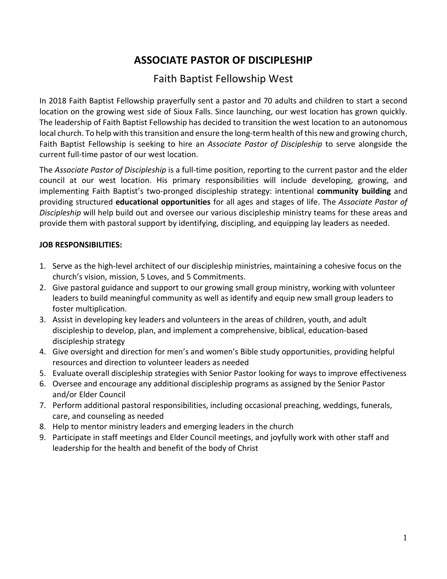# **ASSOCIATE PASTOR OF DISCIPLESHIP**

## Faith Baptist Fellowship West

In 2018 Faith Baptist Fellowship prayerfully sent a pastor and 70 adults and children to start a second location on the growing west side of Sioux Falls. Since launching, our west location has grown quickly. The leadership of Faith Baptist Fellowship has decided to transition the west location to an autonomous local church. To help with this transition and ensure the long-term health of this new and growing church, Faith Baptist Fellowship is seeking to hire an *Associate Pastor of Discipleship* to serve alongside the current full-time pastor of our west location.

The *Associate Pastor of Discipleship* is a full-time position, reporting to the current pastor and the elder council at our west location. His primary responsibilities will include developing, growing, and implementing Faith Baptist's two-pronged discipleship strategy: intentional **community building** and providing structured **educational opportunities** for all ages and stages of life. The *Associate Pastor of Discipleship* will help build out and oversee our various discipleship ministry teams for these areas and provide them with pastoral support by identifying, discipling, and equipping lay leaders as needed.

### **JOB RESPONSIBILITIES:**

- 1. Serve as the high-level architect of our discipleship ministries, maintaining a cohesive focus on the church's vision, mission, 5 Loves, and 5 Commitments.
- 2. Give pastoral guidance and support to our growing small group ministry, working with volunteer leaders to build meaningful community as well as identify and equip new small group leaders to foster multiplication.
- 3. Assist in developing key leaders and volunteers in the areas of children, youth, and adult discipleship to develop, plan, and implement a comprehensive, biblical, education-based discipleship strategy
- 4. Give oversight and direction for men's and women's Bible study opportunities, providing helpful resources and direction to volunteer leaders as needed
- 5. Evaluate overall discipleship strategies with Senior Pastor looking for ways to improve effectiveness
- 6. Oversee and encourage any additional discipleship programs as assigned by the Senior Pastor and/or Elder Council
- 7. Perform additional pastoral responsibilities, including occasional preaching, weddings, funerals, care, and counseling as needed
- 8. Help to mentor ministry leaders and emerging leaders in the church
- 9. Participate in staff meetings and Elder Council meetings, and joyfully work with other staff and leadership for the health and benefit of the body of Christ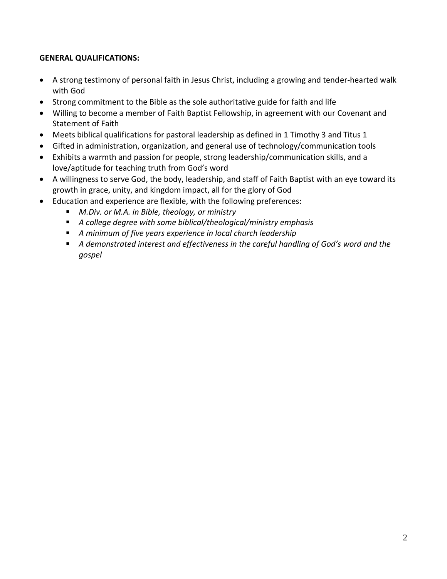## **GENERAL QUALIFICATIONS:**

- A strong testimony of personal faith in Jesus Christ, including a growing and tender-hearted walk with God
- Strong commitment to the Bible as the sole authoritative guide for faith and life
- Willing to become a member of Faith Baptist Fellowship, in agreement with our Covenant and Statement of Faith
- Meets biblical qualifications for pastoral leadership as defined in 1 Timothy 3 and Titus 1
- Gifted in administration, organization, and general use of technology/communication tools
- Exhibits a warmth and passion for people, strong leadership/communication skills, and a love/aptitude for teaching truth from God's word
- A willingness to serve God, the body, leadership, and staff of Faith Baptist with an eye toward its growth in grace, unity, and kingdom impact, all for the glory of God
- Education and experience are flexible, with the following preferences:
	- *M.Div. or M.A. in Bible, theology, or ministry*
	- *A college degree with some biblical/theological/ministry emphasis*
	- *A minimum of five years experience in local church leadership*
	- A *demonstrated interest and effectiveness in the careful handling of God's word and the gospel*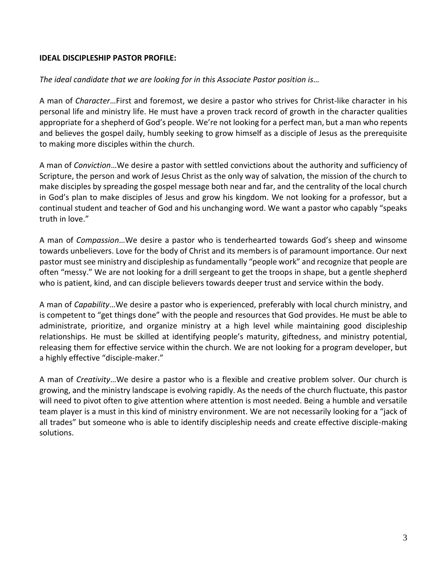#### **IDEAL DISCIPLESHIP PASTOR PROFILE:**

#### *The ideal candidate that we are looking for in this Associate Pastor position is…*

A man of *Character*…First and foremost, we desire a pastor who strives for Christ-like character in his personal life and ministry life. He must have a proven track record of growth in the character qualities appropriate for a shepherd of God's people. We're not looking for a perfect man, but a man who repents and believes the gospel daily, humbly seeking to grow himself as a disciple of Jesus as the prerequisite to making more disciples within the church.

A man of *Conviction*…We desire a pastor with settled convictions about the authority and sufficiency of Scripture, the person and work of Jesus Christ as the only way of salvation, the mission of the church to make disciples by spreading the gospel message both near and far, and the centrality of the local church in God's plan to make disciples of Jesus and grow his kingdom. We not looking for a professor, but a continual student and teacher of God and his unchanging word. We want a pastor who capably "speaks truth in love."

A man of *Compassion*…We desire a pastor who is tenderhearted towards God's sheep and winsome towards unbelievers. Love for the body of Christ and its members is of paramount importance. Our next pastor must see ministry and discipleship as fundamentally "people work" and recognize that people are often "messy." We are not looking for a drill sergeant to get the troops in shape, but a gentle shepherd who is patient, kind, and can disciple believers towards deeper trust and service within the body.

A man of *Capability*…We desire a pastor who is experienced, preferably with local church ministry, and is competent to "get things done" with the people and resources that God provides. He must be able to administrate, prioritize, and organize ministry at a high level while maintaining good discipleship relationships. He must be skilled at identifying people's maturity, giftedness, and ministry potential, releasing them for effective service within the church. We are not looking for a program developer, but a highly effective "disciple-maker."

A man of *Creativity*…We desire a pastor who is a flexible and creative problem solver. Our church is growing, and the ministry landscape is evolving rapidly. As the needs of the church fluctuate, this pastor will need to pivot often to give attention where attention is most needed. Being a humble and versatile team player is a must in this kind of ministry environment. We are not necessarily looking for a "jack of all trades" but someone who is able to identify discipleship needs and create effective disciple-making solutions.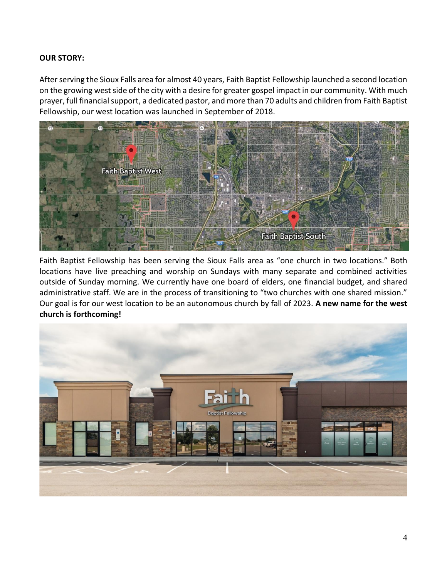#### **OUR STORY:**

After serving the Sioux Falls area for almost 40 years, Faith Baptist Fellowship launched a second location on the growing west side of the city with a desire for greater gospel impact in our community. With much prayer, full financial support, a dedicated pastor, and more than 70 adults and children from Faith Baptist Fellowship, our west location was launched in September of 2018.



Faith Baptist Fellowship has been serving the Sioux Falls area as "one church in two locations." Both locations have live preaching and worship on Sundays with many separate and combined activities outside of Sunday morning. We currently have one board of elders, one financial budget, and shared administrative staff. We are in the process of transitioning to "two churches with one shared mission." Our goal is for our west location to be an autonomous church by fall of 2023. **A new name for the west church is forthcoming!**

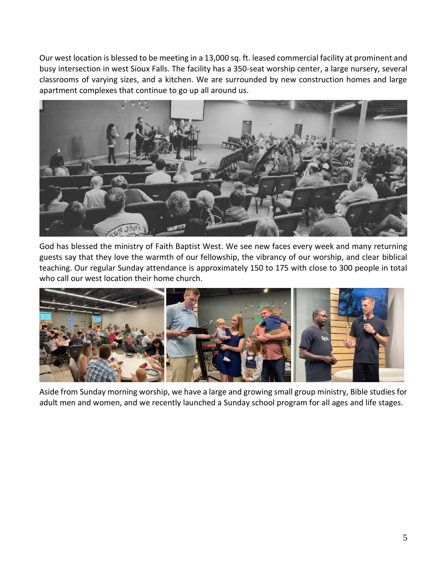Our west location is blessed to be meeting in a 13,000 sq. ft. leased commercial facility at prominent and busy intersection in west Sioux Falls. The facility has a 350-seat worship center, a large nursery, several classrooms of varying sizes, and a kitchen. We are surrounded by new construction homes and large apartment complexes that continue to go up all around us.



God has blessed the ministry of Faith Baptist West. We see new faces every week and many returning guests say that they love the warmth of our fellowship, the vibrancy of our worship, and clear biblical teaching. Our regular Sunday attendance is approximately 150 to 175 with close to 300 people in total who call our west location their home church.



Aside from Sunday morning worship, we have a large and growing small group ministry, Bible studies for adult men and women, and we recently launched a Sunday school program for all ages and life stages.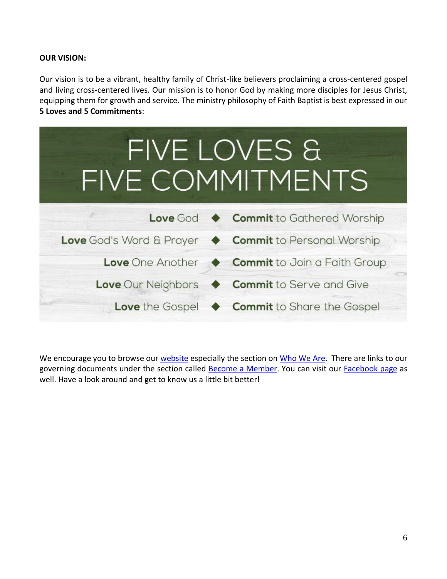#### **OUR VISION:**

Our vision is to be a vibrant, healthy family of Christ-like believers proclaiming a cross-centered gospel and living cross-centered lives. Our mission is to honor God by making more disciples for Jesus Christ, equipping them for growth and service. The ministry philosophy of Faith Baptist is best expressed in our **5 Loves and 5 Commitments**:



We encourage you to browse ou[r website](http://faithsf.com/) especially the section on [Who We Are](http://www.faithsf.com/who-we-are/)[.](http://www.faithsf.com/who-we-are/) There are links to our governing documents under the section called [Become a Member](https://www.faithsf.com/connect/become-a-member/)[.](https://www.faithsf.com/connect/become-a-member/) You can visit our [Facebook page](https://www.facebook.com/FaithBaptistWest) as well. Have a look around and get to know us a little bit better!